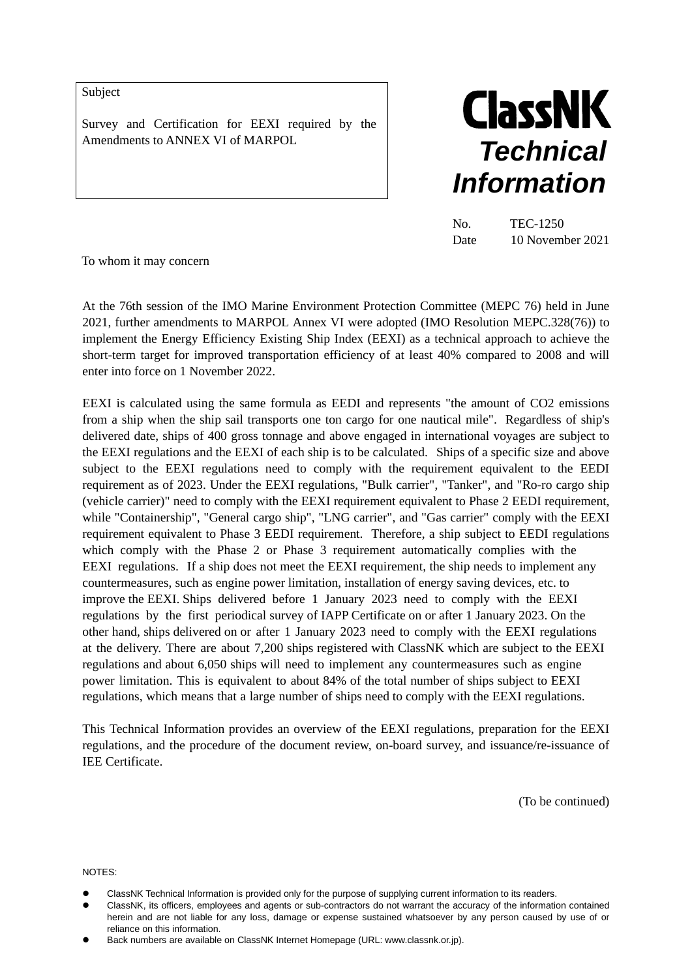Subject

Survey and Certification for EEXI required by the Amendments to ANNEX VI of MARPOL



No. TEC-1250 Date 10 November 2021

To whom it may concern

At the 76th session of the IMO Marine Environment Protection Committee (MEPC 76) held in June 2021, further amendments to MARPOL Annex VI were adopted (IMO Resolution MEPC.328(76)) to implement the Energy Efficiency Existing Ship Index (EEXI) as a technical approach to achieve the short-term target for improved transportation efficiency of at least 40% compared to 2008 and will enter into force on 1 November 2022.

EEXI is calculated using the same formula as EEDI and represents "the amount of CO2 emissions from a ship when the ship sail transports one ton cargo for one nautical mile". Regardless of ship's delivered date, ships of 400 gross tonnage and above engaged in international voyages are subject to the EEXI regulations and the EEXI of each ship is to be calculated. Ships of a specific size and above subject to the EEXI regulations need to comply with the requirement equivalent to the EEDI requirement as of 2023. Under the EEXI regulations, "Bulk carrier", "Tanker", and "Ro-ro cargo ship (vehicle carrier)" need to comply with the EEXI requirement equivalent to Phase 2 EEDI requirement, while "Containership", "General cargo ship", "LNG carrier", and "Gas carrier" comply with the EEXI requirement equivalent to Phase 3 EEDI requirement. Therefore, a ship subject to EEDI regulations which comply with the Phase 2 or Phase 3 requirement automatically complies with the EEXI regulations. If a ship does not meet the EEXI requirement, the ship needs to implement any countermeasures, such as engine power limitation, installation of energy saving devices, etc. to improve the EEXI. Ships delivered before 1 January 2023 need to comply with the EEXI regulations by the first periodical survey of IAPP Certificate on or after 1 January 2023. On the other hand, ships delivered on or after 1 January 2023 need to comply with the EEXI regulations at the delivery. There are about 7,200 ships registered with ClassNK which are subject to the EEXI regulations and about 6,050 ships will need to implement any countermeasures such as engine power limitation. This is equivalent to about 84% of the total number of ships subject to EEXI regulations, which means that a large number of ships need to comply with the EEXI regulations.

This Technical Information provides an overview of the EEXI regulations, preparation for the EEXI regulations, and the procedure of the document review, on-board survey, and issuance/re-issuance of IEE Certificate.

(To be continued)

NOTES:

ClassNK Technical Information is provided only for the purpose of supplying current information to its readers.

 ClassNK, its officers, employees and agents or sub-contractors do not warrant the accuracy of the information contained herein and are not liable for any loss, damage or expense sustained whatsoever by any person caused by use of or reliance on this information.

Back numbers are available on ClassNK Internet Homepage (URL: www.classnk.or.jp).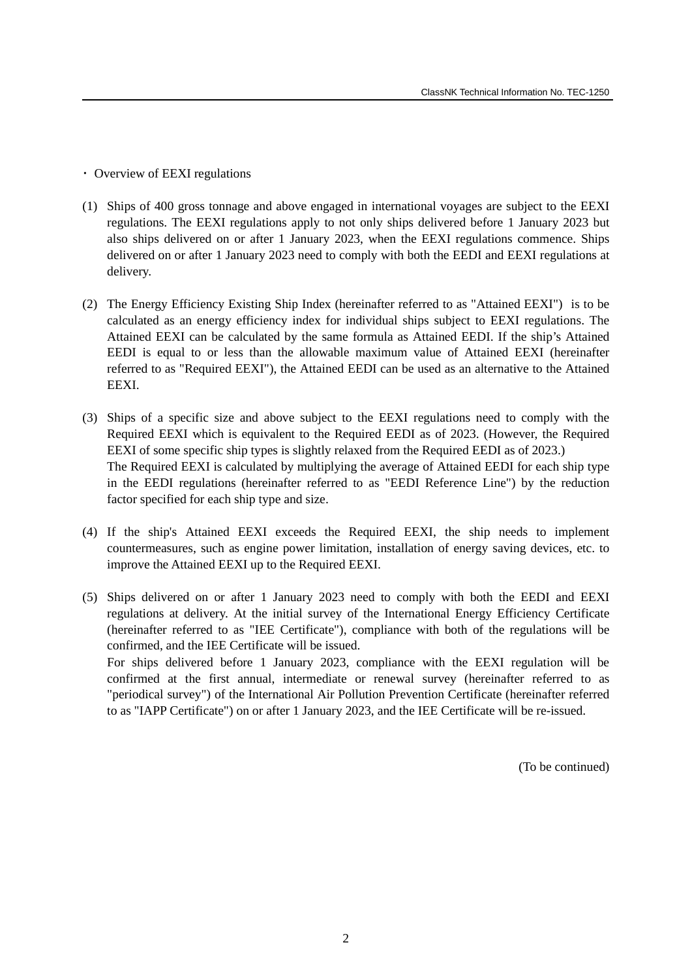- ・ Overview of EEXI regulations
- (1) Ships of 400 gross tonnage and above engaged in international voyages are subject to the EEXI regulations. The EEXI regulations apply to not only ships delivered before 1 January 2023 but also ships delivered on or after 1 January 2023, when the EEXI regulations commence. Ships delivered on or after 1 January 2023 need to comply with both the EEDI and EEXI regulations at delivery.
- (2) The Energy Efficiency Existing Ship Index (hereinafter referred to as "Attained EEXI") is to be calculated as an energy efficiency index for individual ships subject to EEXI regulations. The Attained EEXI can be calculated by the same formula as Attained EEDI. If the ship's Attained EEDI is equal to or less than the allowable maximum value of Attained EEXI (hereinafter referred to as "Required EEXI"), the Attained EEDI can be used as an alternative to the Attained EEXI.
- (3) Ships of a specific size and above subject to the EEXI regulations need to comply with the Required EEXI which is equivalent to the Required EEDI as of 2023. (However, the Required EEXI of some specific ship types is slightly relaxed from the Required EEDI as of 2023.) The Required EEXI is calculated by multiplying the average of Attained EEDI for each ship type in the EEDI regulations (hereinafter referred to as "EEDI Reference Line") by the reduction factor specified for each ship type and size.
- (4) If the ship's Attained EEXI exceeds the Required EEXI, the ship needs to implement countermeasures, such as engine power limitation, installation of energy saving devices, etc. to improve the Attained EEXI up to the Required EEXI.
- (5) Ships delivered on or after 1 January 2023 need to comply with both the EEDI and EEXI regulations at delivery. At the initial survey of the International Energy Efficiency Certificate (hereinafter referred to as "IEE Certificate"), compliance with both of the regulations will be confirmed, and the IEE Certificate will be issued. For ships delivered before 1 January 2023, compliance with the EEXI regulation will be confirmed at the first annual, intermediate or renewal survey (hereinafter referred to as "periodical survey") of the International Air Pollution Prevention Certificate (hereinafter referred to as "IAPP Certificate") on or after 1 January 2023, and the IEE Certificate will be re-issued.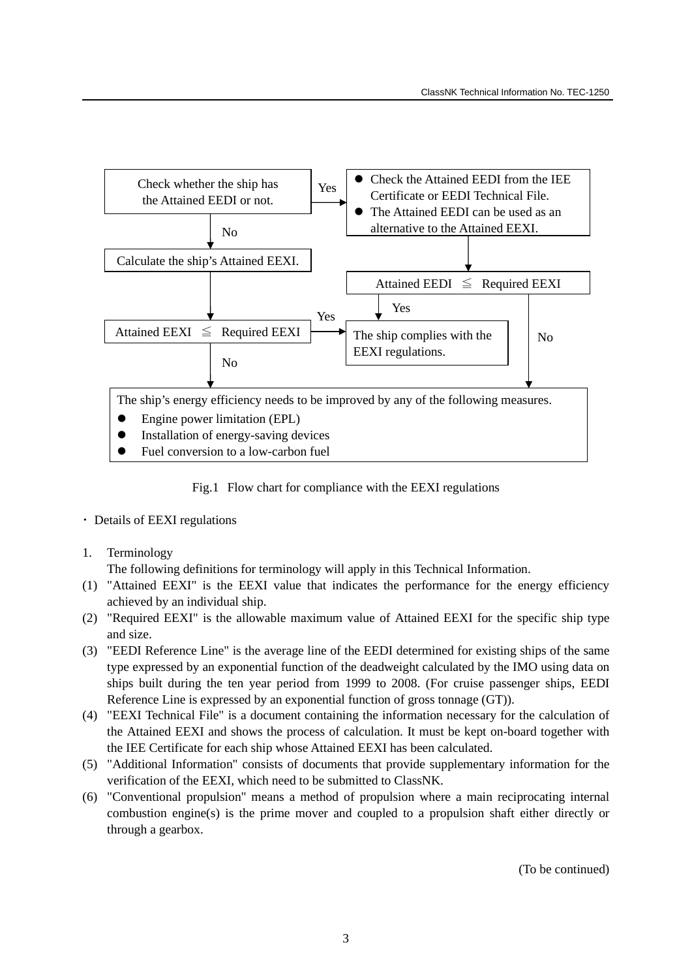

#### Fig.1 Flow chart for compliance with the EEXI regulations

- ・ Details of EEXI regulations
- 1. Terminology

The following definitions for terminology will apply in this Technical Information.

- (1) "Attained EEXI" is the EEXI value that indicates the performance for the energy efficiency achieved by an individual ship.
- (2) "Required EEXI" is the allowable maximum value of Attained EEXI for the specific ship type and size.
- (3) "EEDI Reference Line" is the average line of the EEDI determined for existing ships of the same type expressed by an exponential function of the deadweight calculated by the IMO using data on ships built during the ten year period from 1999 to 2008. (For cruise passenger ships, EEDI Reference Line is expressed by an exponential function of gross tonnage (GT)).
- (4) "EEXI Technical File" is a document containing the information necessary for the calculation of the Attained EEXI and shows the process of calculation. It must be kept on-board together with the IEE Certificate for each ship whose Attained EEXI has been calculated.
- (5) "Additional Information" consists of documents that provide supplementary information for the verification of the EEXI, which need to be submitted to ClassNK.
- (6) "Conventional propulsion" means a method of propulsion where a main reciprocating internal combustion engine(s) is the prime mover and coupled to a propulsion shaft either directly or through a gearbox.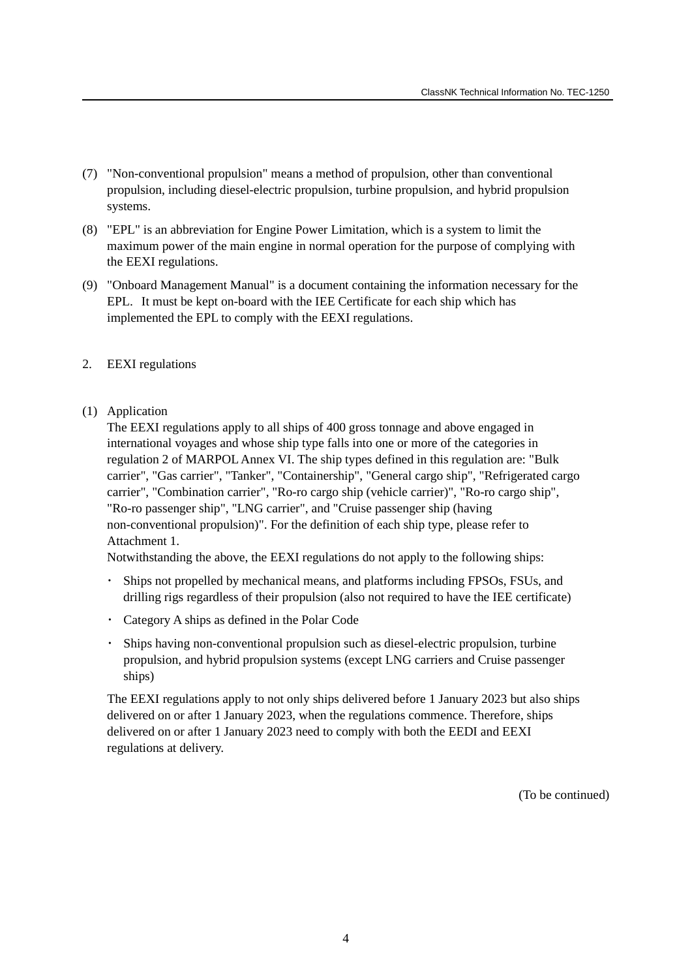- (7) "Non-conventional propulsion" means a method of propulsion, other than conventional propulsion, including diesel-electric propulsion, turbine propulsion, and hybrid propulsion systems.
- (8) "EPL" is an abbreviation for Engine Power Limitation, which is a system to limit the maximum power of the main engine in normal operation for the purpose of complying with the EEXI regulations.
- (9) "Onboard Management Manual" is a document containing the information necessary for the EPL. It must be kept on-board with the IEE Certificate for each ship which has implemented the EPL to comply with the EEXI regulations.
- 2. EEXI regulations
- (1) Application

The EEXI regulations apply to all ships of 400 gross tonnage and above engaged in international voyages and whose ship type falls into one or more of the categories in regulation 2 of MARPOL Annex VI. The ship types defined in this regulation are: "Bulk carrier", "Gas carrier", "Tanker", "Containership", "General cargo ship", "Refrigerated cargo carrier", "Combination carrier", "Ro-ro cargo ship (vehicle carrier)", "Ro-ro cargo ship", "Ro-ro passenger ship", "LNG carrier", and "Cruise passenger ship (having non-conventional propulsion)". For the definition of each ship type, please refer to Attachment 1.

Notwithstanding the above, the EEXI regulations do not apply to the following ships:

- ・ Ships not propelled by mechanical means, and platforms including FPSOs, FSUs, and drilling rigs regardless of their propulsion (also not required to have the IEE certificate)
- ・ Category A ships as defined in the Polar Code
- ・ Ships having non-conventional propulsion such as diesel-electric propulsion, turbine propulsion, and hybrid propulsion systems (except LNG carriers and Cruise passenger ships)

The EEXI regulations apply to not only ships delivered before 1 January 2023 but also ships delivered on or after 1 January 2023, when the regulations commence. Therefore, ships delivered on or after 1 January 2023 need to comply with both the EEDI and EEXI regulations at delivery.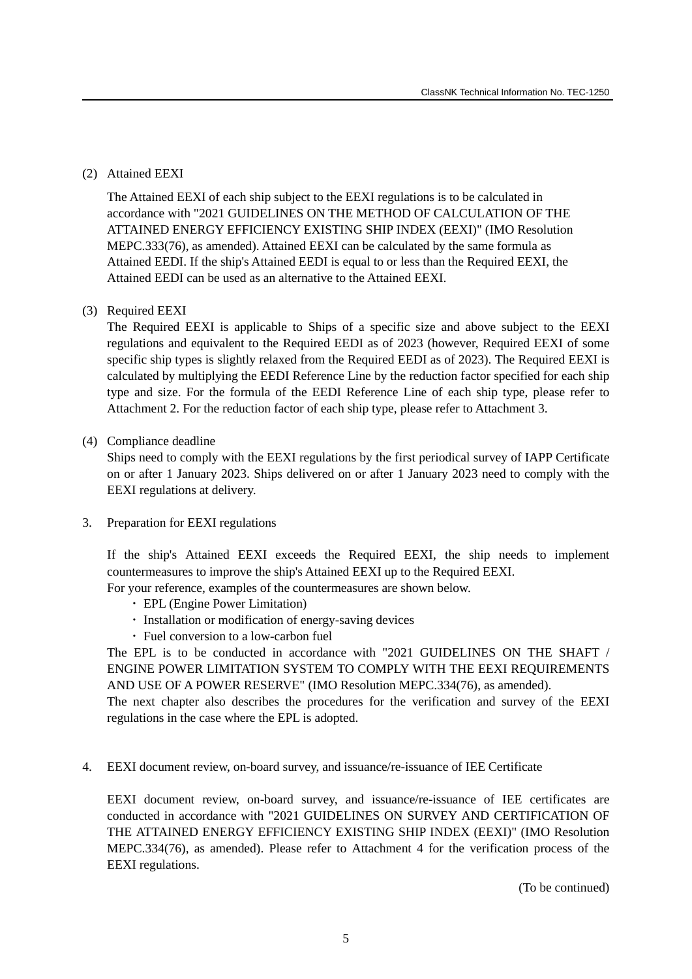## (2) Attained EEXI

The Attained EEXI of each ship subject to the EEXI regulations is to be calculated in accordance with "2021 GUIDELINES ON THE METHOD OF CALCULATION OF THE ATTAINED ENERGY EFFICIENCY EXISTING SHIP INDEX (EEXI)" (IMO Resolution MEPC.333(76), as amended). Attained EEXI can be calculated by the same formula as Attained EEDI. If the ship's Attained EEDI is equal to or less than the Required EEXI, the Attained EEDI can be used as an alternative to the Attained EEXI.

### (3) Required EEXI

The Required EEXI is applicable to Ships of a specific size and above subject to the EEXI regulations and equivalent to the Required EEDI as of 2023 (however, Required EEXI of some specific ship types is slightly relaxed from the Required EEDI as of 2023). The Required EEXI is calculated by multiplying the EEDI Reference Line by the reduction factor specified for each ship type and size. For the formula of the EEDI Reference Line of each ship type, please refer to Attachment 2. For the reduction factor of each ship type, please refer to Attachment 3.

### (4) Compliance deadline

Ships need to comply with the EEXI regulations by the first periodical survey of IAPP Certificate on or after 1 January 2023. Ships delivered on or after 1 January 2023 need to comply with the EEXI regulations at delivery.

3. Preparation for EEXI regulations

If the ship's Attained EEXI exceeds the Required EEXI, the ship needs to implement countermeasures to improve the ship's Attained EEXI up to the Required EEXI.

- For your reference, examples of the countermeasures are shown below.
	- ・ EPL (Engine Power Limitation)
	- ・ Installation or modification of energy-saving devices
	- ・ Fuel conversion to a low-carbon fuel

The EPL is to be conducted in accordance with "2021 GUIDELINES ON THE SHAFT / ENGINE POWER LIMITATION SYSTEM TO COMPLY WITH THE EEXI REQUIREMENTS AND USE OF A POWER RESERVE" (IMO Resolution MEPC.334(76), as amended).

The next chapter also describes the procedures for the verification and survey of the EEXI regulations in the case where the EPL is adopted.

4. EEXI document review, on-board survey, and issuance/re-issuance of IEE Certificate

EEXI document review, on-board survey, and issuance/re-issuance of IEE certificates are conducted in accordance with "2021 GUIDELINES ON SURVEY AND CERTIFICATION OF THE ATTAINED ENERGY EFFICIENCY EXISTING SHIP INDEX (EEXI)" (IMO Resolution MEPC.334(76), as amended). Please refer to Attachment 4 for the verification process of the EEXI regulations.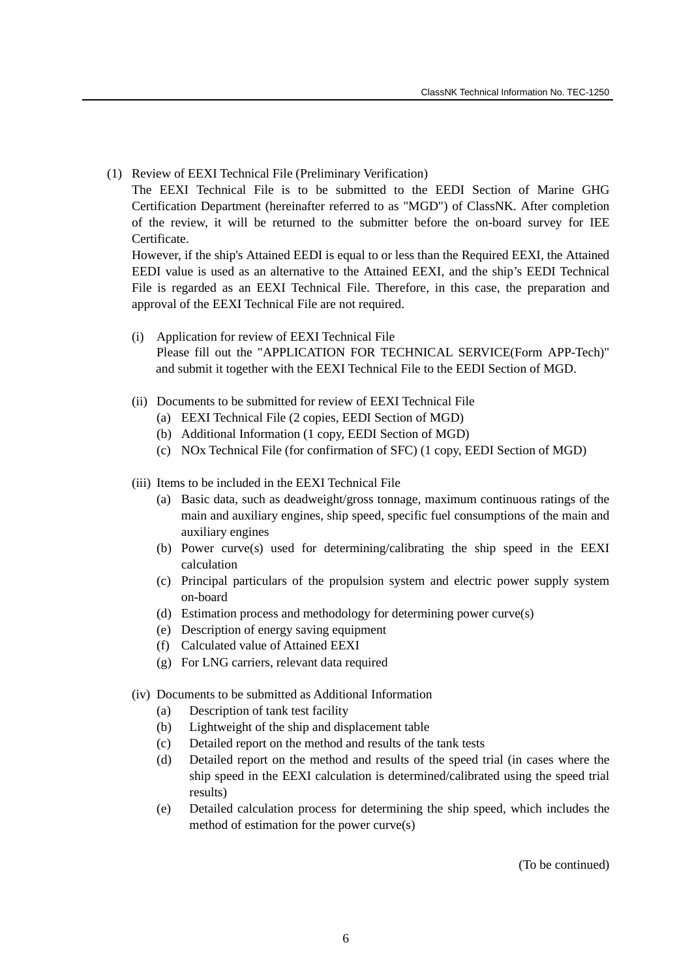(1) Review of EEXI Technical File (Preliminary Verification)

The EEXI Technical File is to be submitted to the EEDI Section of Marine GHG Certification Department (hereinafter referred to as "MGD") of ClassNK. After completion of the review, it will be returned to the submitter before the on-board survey for IEE Certificate.

However, if the ship's Attained EEDI is equal to or less than the Required EEXI, the Attained EEDI value is used as an alternative to the Attained EEXI, and the ship's EEDI Technical File is regarded as an EEXI Technical File. Therefore, in this case, the preparation and approval of the EEXI Technical File are not required.

- (i) Application for review of EEXI Technical File Please fill out the "APPLICATION FOR TECHNICAL SERVICE(Form APP-Tech)" and submit it together with the EEXI Technical File to the EEDI Section of MGD.
- (ii) Documents to be submitted for review of EEXI Technical File
	- (a) EEXI Technical File (2 copies, EEDI Section of MGD)
	- (b) Additional Information (1 copy, EEDI Section of MGD)
	- (c) NOx Technical File (for confirmation of SFC) (1 copy, EEDI Section of MGD)
- (iii) Items to be included in the EEXI Technical File
	- (a) Basic data, such as deadweight/gross tonnage, maximum continuous ratings of the main and auxiliary engines, ship speed, specific fuel consumptions of the main and auxiliary engines
	- (b) Power curve(s) used for determining/calibrating the ship speed in the EEXI calculation
	- (c) Principal particulars of the propulsion system and electric power supply system on-board
	- (d) Estimation process and methodology for determining power curve(s)
	- (e) Description of energy saving equipment
	- (f) Calculated value of Attained EEXI
	- (g) For LNG carriers, relevant data required
- (iv) Documents to be submitted as Additional Information
	- (a) Description of tank test facility
	- (b) Lightweight of the ship and displacement table
	- (c) Detailed report on the method and results of the tank tests
	- (d) Detailed report on the method and results of the speed trial (in cases where the ship speed in the EEXI calculation is determined/calibrated using the speed trial results)
	- (e) Detailed calculation process for determining the ship speed, which includes the method of estimation for the power curve(s)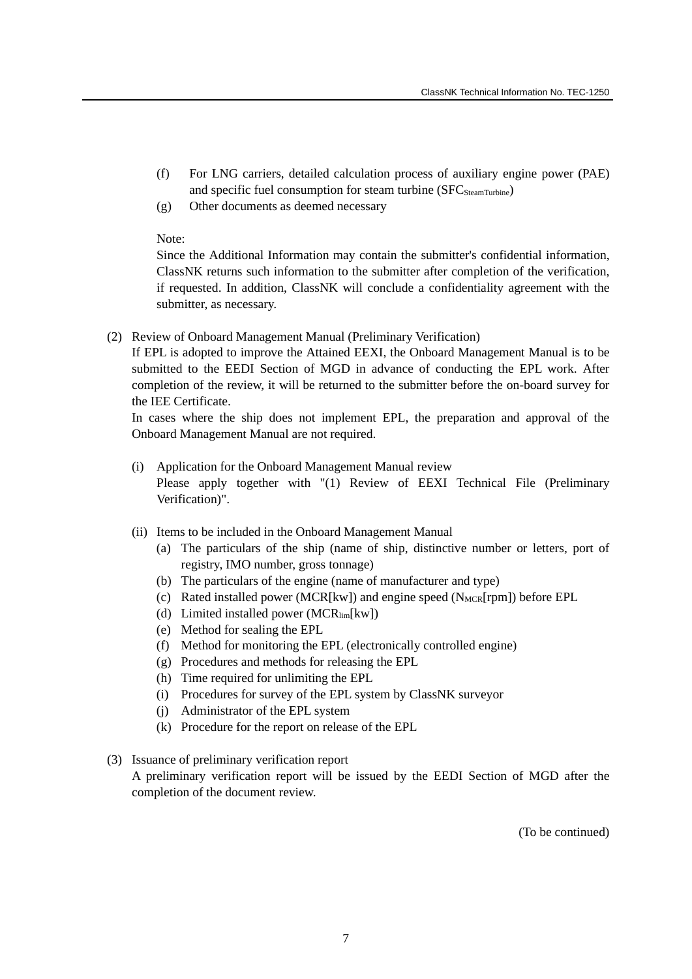- (f) For LNG carriers, detailed calculation process of auxiliary engine power (PAE) and specific fuel consumption for steam turbine (SFC<sub>SteamTurbine</sub>)
- (g) Other documents as deemed necessary

Note:

Since the Additional Information may contain the submitter's confidential information, ClassNK returns such information to the submitter after completion of the verification, if requested. In addition, ClassNK will conclude a confidentiality agreement with the submitter, as necessary.

(2) Review of Onboard Management Manual (Preliminary Verification)

If EPL is adopted to improve the Attained EEXI, the Onboard Management Manual is to be submitted to the EEDI Section of MGD in advance of conducting the EPL work. After completion of the review, it will be returned to the submitter before the on-board survey for the IEE Certificate.

In cases where the ship does not implement EPL, the preparation and approval of the Onboard Management Manual are not required.

- (i) Application for the Onboard Management Manual review Please apply together with "(1) Review of EEXI Technical File (Preliminary Verification)".
- (ii) Items to be included in the Onboard Management Manual
	- (a) The particulars of the ship (name of ship, distinctive number or letters, port of registry, IMO number, gross tonnage)
	- (b) The particulars of the engine (name of manufacturer and type)
	- (c) Rated installed power (MCR[kw]) and engine speed ( $N_{MCR}[rpm]$ ) before EPL
	- (d) Limited installed power  $(MCR_{lim}$ [kw])
	- (e) Method for sealing the EPL
	- (f) Method for monitoring the EPL (electronically controlled engine)
	- (g) Procedures and methods for releasing the EPL
	- (h) Time required for unlimiting the EPL
	- (i) Procedures for survey of the EPL system by ClassNK surveyor
	- (j) Administrator of the EPL system
	- (k) Procedure for the report on release of the EPL
- (3) Issuance of preliminary verification report

A preliminary verification report will be issued by the EEDI Section of MGD after the completion of the document review.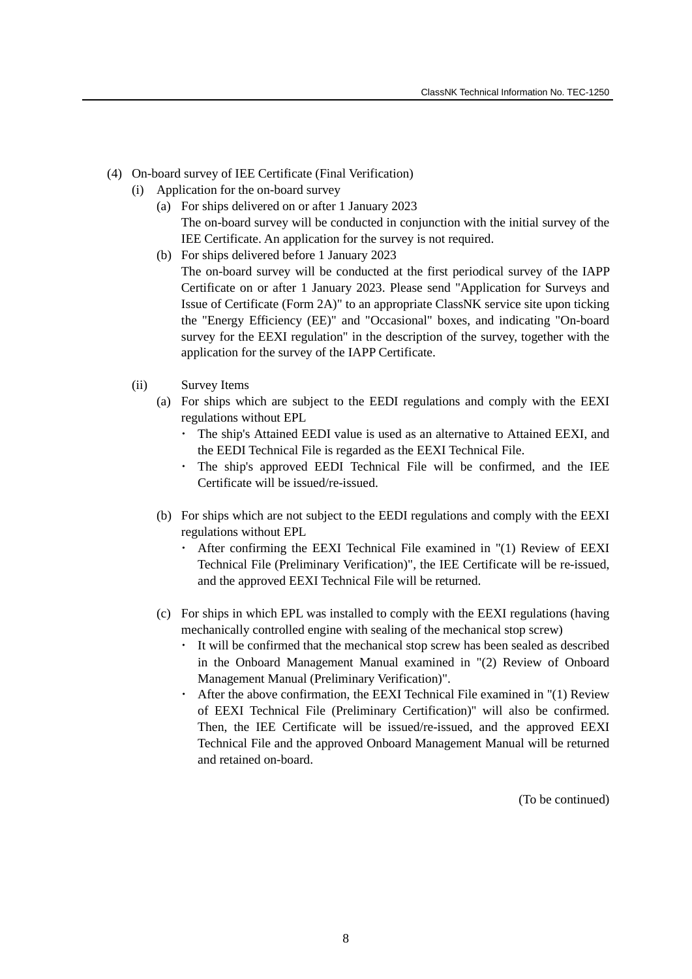- (4) On-board survey of IEE Certificate (Final Verification)
	- (i) Application for the on-board survey
		- (a) For ships delivered on or after 1 January 2023 The on-board survey will be conducted in conjunction with the initial survey of the IEE Certificate. An application for the survey is not required.
		- (b) For ships delivered before 1 January 2023 The on-board survey will be conducted at the first periodical survey of the IAPP Certificate on or after 1 January 2023. Please send "Application for Surveys and Issue of Certificate (Form 2A)" to an appropriate ClassNK service site upon ticking the "Energy Efficiency (EE)" and "Occasional" boxes, and indicating "On-board survey for the EEXI regulation" in the description of the survey, together with the application for the survey of the IAPP Certificate.
	- (ii) Survey Items
		- (a) For ships which are subject to the EEDI regulations and comply with the EEXI regulations without EPL
			- ・ The ship's Attained EEDI value is used as an alternative to Attained EEXI, and the EEDI Technical File is regarded as the EEXI Technical File.
			- ・ The ship's approved EEDI Technical File will be confirmed, and the IEE Certificate will be issued/re-issued.
		- (b) For ships which are not subject to the EEDI regulations and comply with the EEXI regulations without EPL
			- ・ After confirming the EEXI Technical File examined in "(1) Review of EEXI Technical File (Preliminary Verification)", the IEE Certificate will be re-issued, and the approved EEXI Technical File will be returned.
		- (c) For ships in which EPL was installed to comply with the EEXI regulations (having mechanically controlled engine with sealing of the mechanical stop screw)
			- ・ It will be confirmed that the mechanical stop screw has been sealed as described in the Onboard Management Manual examined in "(2) Review of Onboard Management Manual (Preliminary Verification)".
			- ・ After the above confirmation, the EEXI Technical File examined in "(1) Review of EEXI Technical File (Preliminary Certification)" will also be confirmed. Then, the IEE Certificate will be issued/re-issued, and the approved EEXI Technical File and the approved Onboard Management Manual will be returned and retained on-board.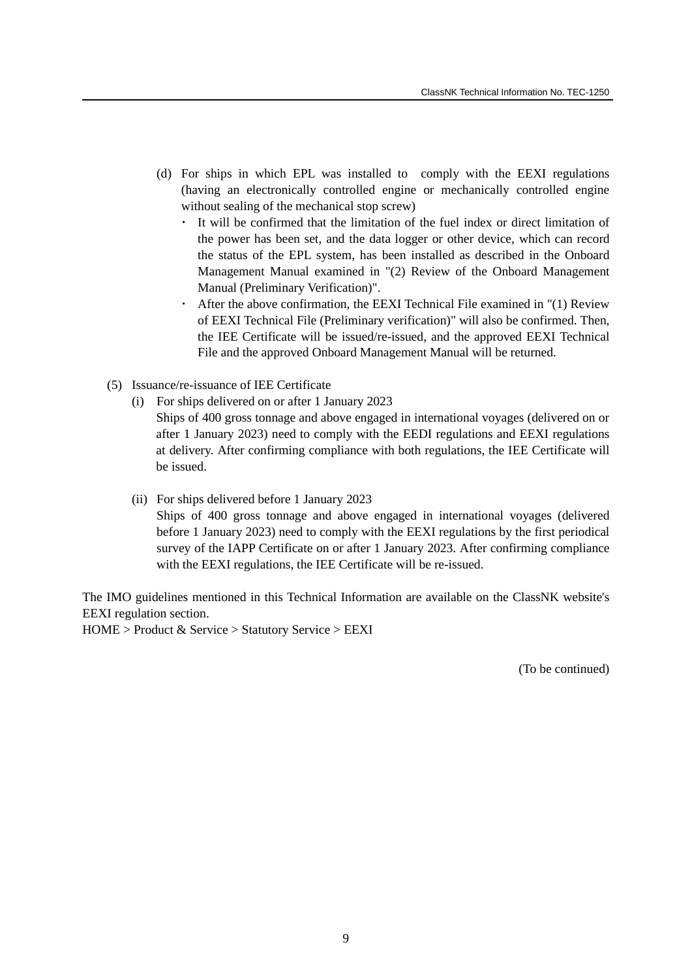- (d) For ships in which EPL was installed to comply with the EEXI regulations (having an electronically controlled engine or mechanically controlled engine without sealing of the mechanical stop screw)
	- ・ It will be confirmed that the limitation of the fuel index or direct limitation of the power has been set, and the data logger or other device, which can record the status of the EPL system, has been installed as described in the Onboard Management Manual examined in "(2) Review of the Onboard Management Manual (Preliminary Verification)".
	- $\cdot$  After the above confirmation, the EEXI Technical File examined in "(1) Review of EEXI Technical File (Preliminary verification)" will also be confirmed. Then, the IEE Certificate will be issued/re-issued, and the approved EEXI Technical File and the approved Onboard Management Manual will be returned.
- (5) Issuance/re-issuance of IEE Certificate
	- (i) For ships delivered on or after 1 January 2023 Ships of 400 gross tonnage and above engaged in international voyages (delivered on or after 1 January 2023) need to comply with the EEDI regulations and EEXI regulations at delivery. After confirming compliance with both regulations, the IEE Certificate will be issued.
	- (ii) For ships delivered before 1 January 2023

Ships of 400 gross tonnage and above engaged in international voyages (delivered before 1 January 2023) need to comply with the EEXI regulations by the first periodical survey of the IAPP Certificate on or after 1 January 2023. After confirming compliance with the EEXI regulations, the IEE Certificate will be re-issued.

The IMO guidelines mentioned in this Technical Information are available on the ClassNK website's EEXI regulation section.

HOME > Product & Service > Statutory Service > EEXI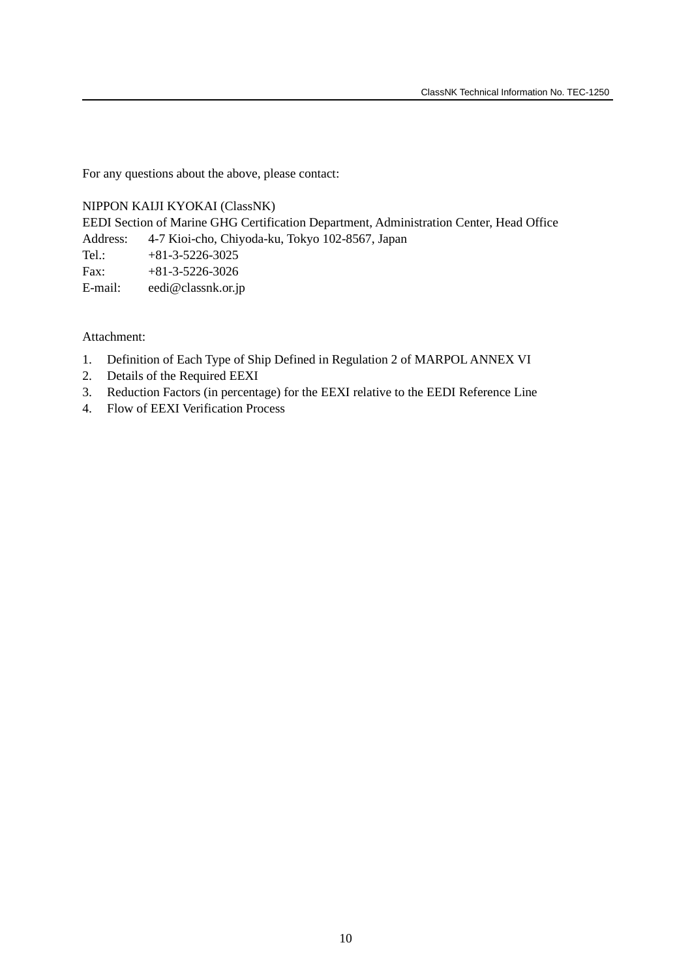For any questions about the above, please contact:

# NIPPON KAIJI KYOKAI (ClassNK)

EEDI Section of Marine GHG Certification Department, Administration Center, Head Office

Address: 4-7 Kioi-cho, Chiyoda-ku, Tokyo 102-8567, Japan

Tel.:  $+81-3-5226-3025$ Fax:  $+81-3-5226-3026$ 

E-mail: eedi@classnk.or.jp

# Attachment:

- 1. Definition of Each Type of Ship Defined in Regulation 2 of MARPOL ANNEX VI
- 2. Details of the Required EEXI
- 3. Reduction Factors (in percentage) for the EEXI relative to the EEDI Reference Line
- 4. Flow of EEXI Verification Process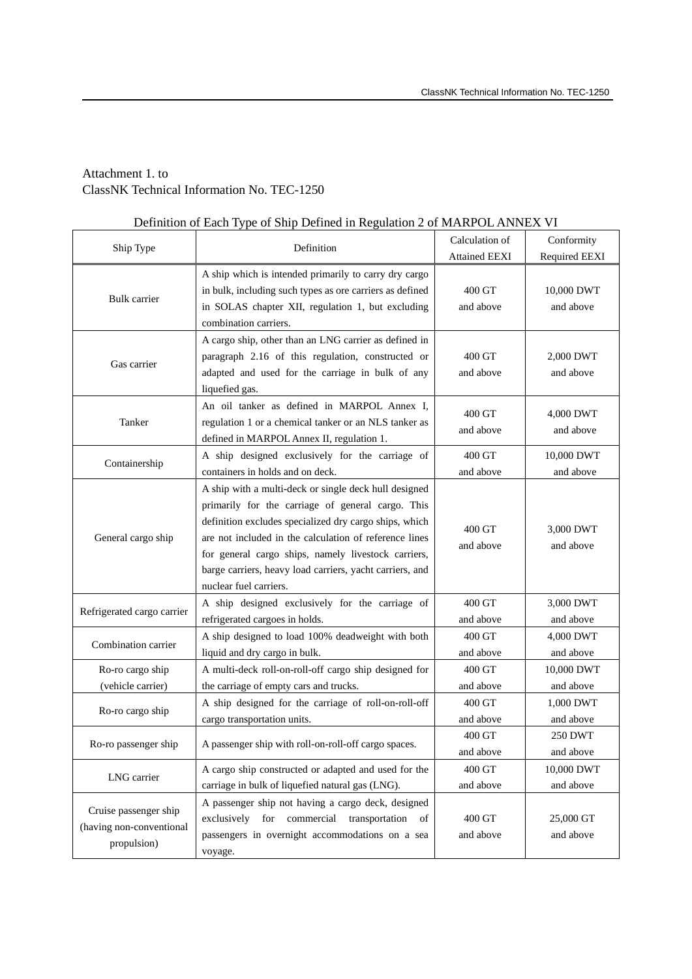# Attachment 1. to ClassNK Technical Information No. TEC-1250

| Definition of Each Type of Ship Defined in Regulation 2 of MARPOL ANNEX VI |  |  |  |  |  |  |
|----------------------------------------------------------------------------|--|--|--|--|--|--|
|                                                                            |  |  |  |  |  |  |

| Ship Type                  | Definition                                               | Calculation of       | Conformity     |
|----------------------------|----------------------------------------------------------|----------------------|----------------|
|                            |                                                          | <b>Attained EEXI</b> | Required EEXI  |
|                            | A ship which is intended primarily to carry dry cargo    |                      |                |
| <b>Bulk</b> carrier        | in bulk, including such types as ore carriers as defined | 400 GT               | 10,000 DWT     |
|                            | in SOLAS chapter XII, regulation 1, but excluding        | and above            | and above      |
|                            | combination carriers.                                    |                      |                |
|                            | A cargo ship, other than an LNG carrier as defined in    |                      |                |
| Gas carrier                | paragraph 2.16 of this regulation, constructed or        | $400 \text{ GT}$     | 2,000 DWT      |
|                            | adapted and used for the carriage in bulk of any         | and above            | and above      |
|                            | liquefied gas.                                           |                      |                |
|                            | An oil tanker as defined in MARPOL Annex I,              | 400 GT               | 4,000 DWT      |
| Tanker                     | regulation 1 or a chemical tanker or an NLS tanker as    | and above            | and above      |
|                            | defined in MARPOL Annex II, regulation 1.                |                      |                |
| Containership              | A ship designed exclusively for the carriage of          | 400 GT               | 10,000 DWT     |
|                            | containers in holds and on deck.                         | and above            | and above      |
|                            | A ship with a multi-deck or single deck hull designed    |                      |                |
|                            | primarily for the carriage of general cargo. This        |                      |                |
|                            | definition excludes specialized dry cargo ships, which   | 400 GT               | 3,000 DWT      |
| General cargo ship         | are not included in the calculation of reference lines   | and above            | and above      |
|                            | for general cargo ships, namely livestock carriers,      |                      |                |
|                            | barge carriers, heavy load carriers, yacht carriers, and |                      |                |
|                            | nuclear fuel carriers.                                   |                      |                |
| Refrigerated cargo carrier | A ship designed exclusively for the carriage of          | 400 GT               | 3,000 DWT      |
|                            | refrigerated cargoes in holds.                           | and above            | and above      |
| Combination carrier        | A ship designed to load 100% deadweight with both        | 400 GT               | 4,000 DWT      |
|                            | liquid and dry cargo in bulk.                            | and above            | and above      |
| Ro-ro cargo ship           | A multi-deck roll-on-roll-off cargo ship designed for    | $400 \text{ GT}$     | 10,000 DWT     |
| (vehicle carrier)          | the carriage of empty cars and trucks.                   | and above            | and above      |
| Ro-ro cargo ship           | A ship designed for the carriage of roll-on-roll-off     | 400 GT               | 1,000 DWT      |
|                            | cargo transportation units.                              | and above            | and above      |
| Ro-ro passenger ship       | A passenger ship with roll-on-roll-off cargo spaces.     | 400 GT               | <b>250 DWT</b> |
|                            |                                                          | and above            | and above      |
| LNG carrier                | A cargo ship constructed or adapted and used for the     | 400 GT               | 10,000 DWT     |
|                            | carriage in bulk of liquefied natural gas (LNG).         | and above            | and above      |
|                            | A passenger ship not having a cargo deck, designed       |                      |                |
| Cruise passenger ship      | exclusively for commercial<br>transportation of          | 400 GT               | 25,000 GT      |
| (having non-conventional   | passengers in overnight accommodations on a sea          | and above            | and above      |
| propulsion)                | voyage.                                                  |                      |                |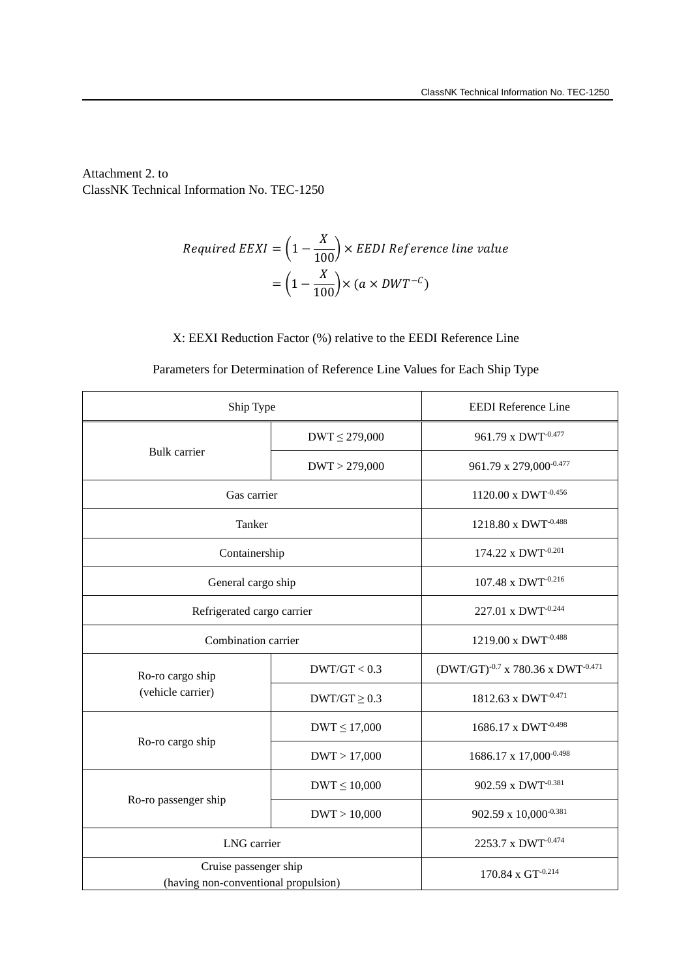Attachment 2. to ClassNK Technical Information No. TEC-1250

> Required EEXI =  $\left(1 - \frac{X}{100}\right) \times EEDI$  Reference line value  $=\left(1-\frac{X}{100}\right) \times (a \times DWT^{-C})$

#### X: EEXI Reduction Factor (%) relative to the EEDI Reference Line

| Ship Type                                                     | <b>EEDI</b> Reference Line      |                                             |  |  |
|---------------------------------------------------------------|---------------------------------|---------------------------------------------|--|--|
|                                                               | $DWT \leq 279,000$              | 961.79 x DWT-0.477                          |  |  |
| <b>Bulk</b> carrier                                           | DWT > 279,000                   | 961.79 x 279,000-0.477                      |  |  |
| Gas carrier                                                   | 1120.00 x DWT-0.456             |                                             |  |  |
| Tanker                                                        | 1218.80 x DWT <sup>-0.488</sup> |                                             |  |  |
| Containership                                                 | 174.22 x DWT-0.201              |                                             |  |  |
| General cargo ship                                            | 107.48 x DWT-0.216              |                                             |  |  |
| Refrigerated cargo carrier                                    | 227.01 x DWT-0.244              |                                             |  |  |
| Combination carrier                                           | 1219.00 x DWT-0.488             |                                             |  |  |
| Ro-ro cargo ship                                              | DWT/GT < 0.3                    | $(DWT/GT)^{-0.7}$ x 780.36 x $DWT^{-0.471}$ |  |  |
| (vehicle carrier)                                             | $DWT/GT \geq 0.3$               | 1812.63 x DWT-0.471                         |  |  |
|                                                               | $DWT \le 17,000$                | 1686.17 x DWT <sup>-0.498</sup>             |  |  |
| Ro-ro cargo ship                                              | DWT > 17,000                    | 1686.17 x 17,000 <sup>-0.498</sup>          |  |  |
|                                                               | $DWT \le 10,000$                | $902.59$ x $\rm DWT^{\text{-}0.381}$        |  |  |
| Ro-ro passenger ship                                          | DWT > 10,000                    | 902.59 x 10,000-0.381                       |  |  |
| LNG carrier                                                   | 2253.7 x DWT-0.474              |                                             |  |  |
| Cruise passenger ship<br>(having non-conventional propulsion) | 170.84 x GT-0.214               |                                             |  |  |

## Parameters for Determination of Reference Line Values for Each Ship Type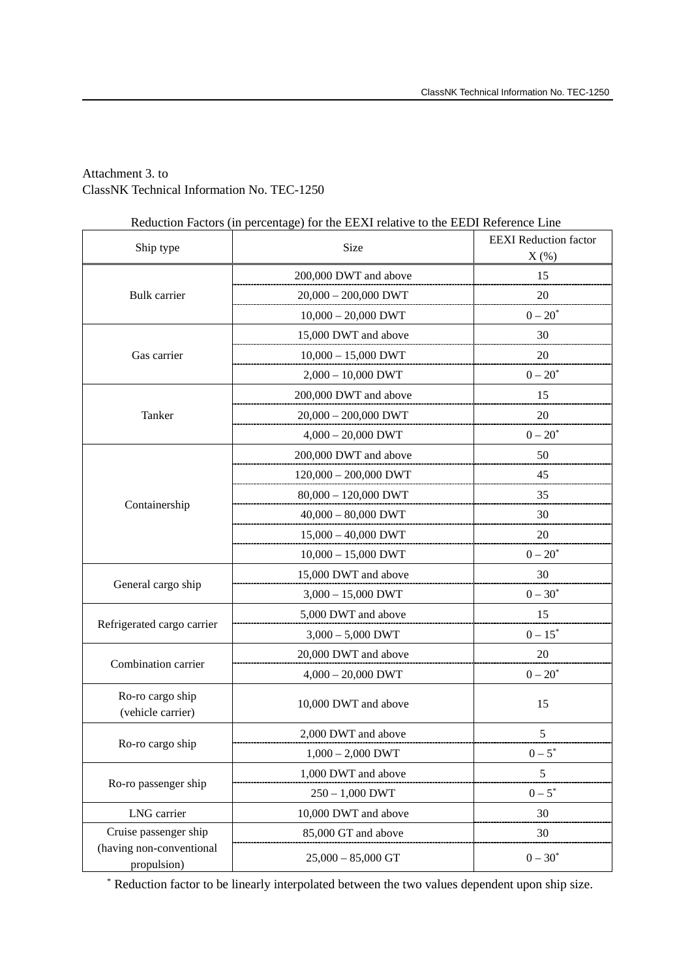# Attachment 3. to ClassNK Technical Information No. TEC-1250

| Ship type                               | Size                    | <b>EEXI</b> Reduction factor<br>$X(\%)$ |
|-----------------------------------------|-------------------------|-----------------------------------------|
|                                         | 200,000 DWT and above   | 15                                      |
| <b>Bulk</b> carrier                     | $20,000 - 200,000$ DWT  | 20                                      |
|                                         | $10,000 - 20,000$ DWT   | $0 - 20^*$                              |
|                                         | 15,000 DWT and above    | 30                                      |
| Gas carrier                             | $10,000 - 15,000$ DWT   | 20                                      |
|                                         | $2,000 - 10,000$ DWT    | $0 - 20^*$                              |
|                                         | 200,000 DWT and above   | 15                                      |
| Tanker                                  | $20,000 - 200,000$ DWT  | 20                                      |
|                                         | $4,000 - 20,000$ DWT    | $0 - 20^*$                              |
|                                         | 200,000 DWT and above   | 50                                      |
|                                         | $120,000 - 200,000$ DWT | 45                                      |
|                                         | $80,000 - 120,000$ DWT  | 35                                      |
| Containership                           | $40,000 - 80,000$ DWT   | 30                                      |
|                                         | $15,000 - 40,000$ DWT   | 20                                      |
|                                         | $10,000 - 15,000$ DWT   | $0 - 20^*$                              |
|                                         | 15,000 DWT and above    | 30                                      |
| General cargo ship                      | $3,000 - 15,000$ DWT    | $0 - 30*$                               |
|                                         | 5,000 DWT and above     | 15                                      |
| Refrigerated cargo carrier              | $3,000 - 5,000$ DWT     | $0 - 15^*$                              |
|                                         | 20,000 DWT and above    | 20                                      |
| Combination carrier                     | $4,000 - 20,000$ DWT    | $0 - 20^*$                              |
| Ro-ro cargo ship<br>(vehicle carrier)   | 10,000 DWT and above    | 15                                      |
|                                         | 2,000 DWT and above     | 5                                       |
| Ro-ro cargo ship                        | $1,000 - 2,000$ DWT     | $0 - 5^*$                               |
|                                         | 1,000 DWT and above     | 5                                       |
| Ro-ro passenger ship                    | $250 - 1,000$ DWT       | $0 - 5^*$                               |
| LNG carrier                             | 10,000 DWT and above    | 30                                      |
| Cruise passenger ship                   | 85,000 GT and above     | 30                                      |
| (having non-conventional<br>propulsion) | $25,000 - 85,000$ GT    | $0 - 30^{*}$                            |

\* Reduction factor to be linearly interpolated between the two values dependent upon ship size.